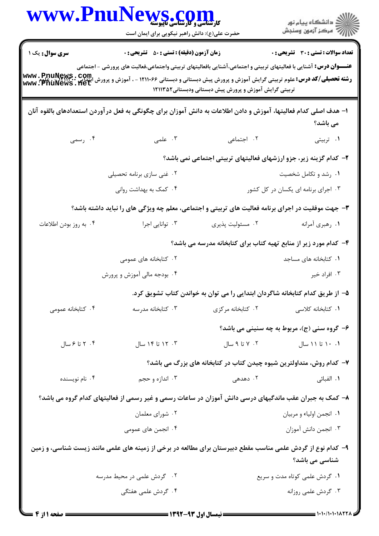| WWW.Fnur                                                                                                                                                       | s.com<br><b>کارشناسی و کارشناسی تاپیوسته</b><br>حضرت علی(ع): دانش راهبر نیکویی برای ایمان است             |                                                                      | ڪ دانشڪاه پيا <sub>م</sub> نور<br>∕7 مرڪز آزمون وسنڊش                                                                     |  |
|----------------------------------------------------------------------------------------------------------------------------------------------------------------|-----------------------------------------------------------------------------------------------------------|----------------------------------------------------------------------|---------------------------------------------------------------------------------------------------------------------------|--|
| <b>سری سوال :</b> یک ۱                                                                                                                                         | <b>زمان آزمون (دقیقه) : تستی : 50 ٪ تشریحی : 0</b>                                                        |                                                                      | <b>تعداد سوالات : تستی : 30 ٪ تشریحی : 0</b>                                                                              |  |
|                                                                                                                                                                |                                                                                                           |                                                                      | <b>عنــــوان درس:</b> آشنایی با فعالیتهای تربیتی و اجتماعی،آشنایی بافعالیتهای تربیتی واجتماعی،فعالیت های پرورشی - اجتماعی |  |
| <b>رشته تحصیلی/کد درس:</b> علوم تربیتی گرایش آموزش و پرورش پیش دبستانی و دبستانی ۱۲۱۱۰۶۶ - آموزش و پرورش انتدابی ، <b>WWW ، PnuNews</b><br>www ، PnuNews ، net |                                                                                                           | تربیتی گرایش آموزش و پرورش پیش دبستانی ودبستانی۱۲۱۱۳۵۲               |                                                                                                                           |  |
| ا– هدف اصلی کدام فعالیتها، آموزش و دادن اطلاعات به دانش آموزان برای چگونگی به فعل در آوردن استعدادهای بالقوه آنان                                              |                                                                                                           |                                                                      |                                                                                                                           |  |
|                                                                                                                                                                |                                                                                                           |                                                                      | می باشد؟                                                                                                                  |  |
| ۰۴ رسمی                                                                                                                                                        | ۰۳ علمی                                                                                                   | ٢. اجتماعی                                                           | ۰۱ تربیتی                                                                                                                 |  |
|                                                                                                                                                                |                                                                                                           |                                                                      | ۲- کدام گزینه زیر، جزو ارزشهای فعالیتهای تربیتی اجتماعی نمی باشد؟                                                         |  |
|                                                                                                                                                                | ۲. غنی سازی برنامه تحصیلی                                                                                 | ۰۱ رشد و تکامل شخصیت                                                 |                                                                                                                           |  |
|                                                                                                                                                                | ۰۴ کمک به بهداشت روانی                                                                                    | ۰۳ اجرای برنامه ای یکسان در کل کشور                                  |                                                                                                                           |  |
|                                                                                                                                                                | <b>۳</b> - جهت موفقیت در اجرای برنامه فعالیت های تربیتی و اجتماعی، معلم چه ویژگی های را نباید داشته باشد؟ |                                                                      |                                                                                                                           |  |
| ۰۴ به روز بودن اطلاعات                                                                                                                                         | ۰۳ توانایی اجرا                                                                                           | ۰۲ مسئوليت پذيري                                                     | ۰۱ رهبري أمرانه                                                                                                           |  |
|                                                                                                                                                                |                                                                                                           |                                                                      | ۴- کدام مورد زیر از منابع تهیه کتاب برای کتابخانه مدرسه می باشد؟                                                          |  |
|                                                                                                                                                                | ۰۲ کتابخانه های عمومی                                                                                     |                                                                      | ٠١ كتابخانه هاى مساجد                                                                                                     |  |
|                                                                                                                                                                | ۰۴ بودجه مالی آموزش و پرورش                                                                               | ۰۳ افراد خیر                                                         |                                                                                                                           |  |
|                                                                                                                                                                |                                                                                                           |                                                                      | ۵– از طریق کدام کتابخانه شاگردان ابتدایی را می توان به خواندن کتاب تشویق کرد.                                             |  |
| ۰۴ کتابخانه عمومی                                                                                                                                              | ۰۳ كتابخانه مدرسه                                                                                         | ٠٢ كتابخانه مركزى                                                    | ٠١ كتابخانه كلاسى                                                                                                         |  |
|                                                                                                                                                                |                                                                                                           |                                                                      | ۶- گروه سنی (ج)، مربوط به چه سنینی می باشد؟                                                                               |  |
| ۰۴ تا ۶ سال                                                                                                                                                    | ۰۳ تا ۱۴ سال                                                                                              | ۰۲ تا ۹ سال                                                          | ۰.۱۱ تا ۱۱ سال                                                                                                            |  |
|                                                                                                                                                                |                                                                                                           | ۷– کدام روش، متداولترین شیوه چیدن کتاب در کتابخانه های بزرگ می باشد؟ |                                                                                                                           |  |
| ۰۴ نام نویسنده                                                                                                                                                 | ۰۳ اندازه و حجم                                                                                           | ۲. دهدهی                                                             | ۰۱ الفبائ <sub>ی</sub>                                                                                                    |  |
|                                                                                                                                                                | ۸– کمک به جبران عقب ماندگیهای درسی دانش آموزان در ساعات رسمی و غیر رسمی از فعالیتهای کدام گروه می باشد؟   |                                                                      |                                                                                                                           |  |
|                                                                                                                                                                | ۰۲ شورای معلمان                                                                                           | ٠١ انجمن اولياء و مربيان                                             |                                                                                                                           |  |
|                                                                                                                                                                | ۰۴ انجمن های عمومی                                                                                        |                                                                      | ۰۳ انجمن دانش آموزان                                                                                                      |  |
| ۹- کدام نوع از گردش علمی مناسب مقطع دبیرستان برای مطالعه در برخی از زمینه های علمی مانند زیست شناسی، و زمین                                                    |                                                                                                           |                                                                      | شناسی می باشد؟                                                                                                            |  |
|                                                                                                                                                                | ۰۲ گردش علمی در محیط مدرسه                                                                                | ٠١ گردش علمى كوتاه مدت و سريع                                        |                                                                                                                           |  |
|                                                                                                                                                                | ۰۴ گردش علمی هفتگی                                                                                        |                                                                      | ۰۳ گردش علمی روزانه                                                                                                       |  |
| صفحه ۱ از ۴                                                                                                                                                    |                                                                                                           |                                                                      |                                                                                                                           |  |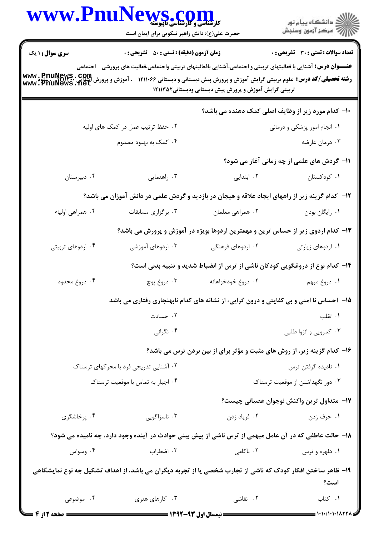| WWW.PnuNews.com                        |                                                    | ِ<br>∭ دانشڪاه پيام نور<br>∭ مرڪز آزمون وسنڊش                                                                                                                                                                                                                                                                                                                                                                                                                                                                                                                                                                                                                                                                                                                                                                                                                                                                                                                                                                                                                                                                                                    |
|----------------------------------------|----------------------------------------------------|--------------------------------------------------------------------------------------------------------------------------------------------------------------------------------------------------------------------------------------------------------------------------------------------------------------------------------------------------------------------------------------------------------------------------------------------------------------------------------------------------------------------------------------------------------------------------------------------------------------------------------------------------------------------------------------------------------------------------------------------------------------------------------------------------------------------------------------------------------------------------------------------------------------------------------------------------------------------------------------------------------------------------------------------------------------------------------------------------------------------------------------------------|
|                                        |                                                    | <b>تعداد سوالات : تستی : 30 ٪ تشریحی : 0</b>                                                                                                                                                                                                                                                                                                                                                                                                                                                                                                                                                                                                                                                                                                                                                                                                                                                                                                                                                                                                                                                                                                     |
|                                        |                                                    |                                                                                                                                                                                                                                                                                                                                                                                                                                                                                                                                                                                                                                                                                                                                                                                                                                                                                                                                                                                                                                                                                                                                                  |
|                                        | ۱۰- کدام مورد زیر از وظایف اصلی کمک دهنده می باشد؟ |                                                                                                                                                                                                                                                                                                                                                                                                                                                                                                                                                                                                                                                                                                                                                                                                                                                                                                                                                                                                                                                                                                                                                  |
| ۰۲ حفظ ترتیب عمل در کمک های اولیه      |                                                    | ۰۱ انجام امور پزشکی و درمانی                                                                                                                                                                                                                                                                                                                                                                                                                                                                                                                                                                                                                                                                                                                                                                                                                                                                                                                                                                                                                                                                                                                     |
| ۰۴ کمک به بهبود مصدوم                  |                                                    | ۰۳ درمان عارضه                                                                                                                                                                                                                                                                                                                                                                                                                                                                                                                                                                                                                                                                                                                                                                                                                                                                                                                                                                                                                                                                                                                                   |
|                                        |                                                    | 11- گردش های علمی از چه زمانی آغاز می شود؟                                                                                                                                                                                                                                                                                                                                                                                                                                                                                                                                                                                                                                                                                                                                                                                                                                                                                                                                                                                                                                                                                                       |
| ۰۳ راهنمایی                            | ۰۲ ابتدایی                                         | ٠١ كودكستان                                                                                                                                                                                                                                                                                                                                                                                                                                                                                                                                                                                                                                                                                                                                                                                                                                                                                                                                                                                                                                                                                                                                      |
|                                        |                                                    |                                                                                                                                                                                                                                                                                                                                                                                                                                                                                                                                                                                                                                                                                                                                                                                                                                                                                                                                                                                                                                                                                                                                                  |
| ۰۳ برگزاری مسابقات                     | ۰۲ همراهي معلمان                                   | ٠١. رايگان بودن                                                                                                                                                                                                                                                                                                                                                                                                                                                                                                                                                                                                                                                                                                                                                                                                                                                                                                                                                                                                                                                                                                                                  |
|                                        |                                                    |                                                                                                                                                                                                                                                                                                                                                                                                                                                                                                                                                                                                                                                                                                                                                                                                                                                                                                                                                                                                                                                                                                                                                  |
| ۰۳ اردوهای آموزشی                      | ۰۲ اردوهای فرهنگی                                  | ۰۱ اردوهای زیارتی                                                                                                                                                                                                                                                                                                                                                                                                                                                                                                                                                                                                                                                                                                                                                                                                                                                                                                                                                                                                                                                                                                                                |
|                                        |                                                    |                                                                                                                                                                                                                                                                                                                                                                                                                                                                                                                                                                                                                                                                                                                                                                                                                                                                                                                                                                                                                                                                                                                                                  |
| ۰۳ دروغ پوچ                            | ۰۲ دروغ خودخواهانه                                 | 1. دروغ مبهم                                                                                                                                                                                                                                                                                                                                                                                                                                                                                                                                                                                                                                                                                                                                                                                                                                                                                                                                                                                                                                                                                                                                     |
|                                        |                                                    |                                                                                                                                                                                                                                                                                                                                                                                                                                                                                                                                                                                                                                                                                                                                                                                                                                                                                                                                                                                                                                                                                                                                                  |
| ۰۲ حسادت                               |                                                    | ۰۱ تقلب                                                                                                                                                                                                                                                                                                                                                                                                                                                                                                                                                                                                                                                                                                                                                                                                                                                                                                                                                                                                                                                                                                                                          |
| ۰۴ نگرانی                              |                                                    | ۰۳ کمرویی و انزوا طلبی                                                                                                                                                                                                                                                                                                                                                                                                                                                                                                                                                                                                                                                                                                                                                                                                                                                                                                                                                                                                                                                                                                                           |
|                                        |                                                    |                                                                                                                                                                                                                                                                                                                                                                                                                                                                                                                                                                                                                                                                                                                                                                                                                                                                                                                                                                                                                                                                                                                                                  |
| ۰۲ آشنایی تدریجی فرد با محرکهای ترسناک |                                                    | ۰۱ نادیده گرفتن ترس                                                                                                                                                                                                                                                                                                                                                                                                                                                                                                                                                                                                                                                                                                                                                                                                                                                                                                                                                                                                                                                                                                                              |
| ۰۴ اجبار به تماس با موقعیت ترسناک      |                                                    | ۰۳ دور نگهداشتن از موقعیت ترسناک                                                                                                                                                                                                                                                                                                                                                                                                                                                                                                                                                                                                                                                                                                                                                                                                                                                                                                                                                                                                                                                                                                                 |
|                                        |                                                    | 17- متداول ترين واكنش نوجوان عصباني چيست؟                                                                                                                                                                                                                                                                                                                                                                                                                                                                                                                                                                                                                                                                                                                                                                                                                                                                                                                                                                                                                                                                                                        |
| ۰۳ ناسزاگویی                           | ۰۲ فرياد زدن                                       | ۰۱ حرف زدن                                                                                                                                                                                                                                                                                                                                                                                                                                                                                                                                                                                                                                                                                                                                                                                                                                                                                                                                                                                                                                                                                                                                       |
|                                        |                                                    |                                                                                                                                                                                                                                                                                                                                                                                                                                                                                                                                                                                                                                                                                                                                                                                                                                                                                                                                                                                                                                                                                                                                                  |
| ۰۳ اضطراب                              | ۲. ناکامی                                          | ۰۱ دلهره و ترس                                                                                                                                                                                                                                                                                                                                                                                                                                                                                                                                                                                                                                                                                                                                                                                                                                                                                                                                                                                                                                                                                                                                   |
|                                        |                                                    | است؟                                                                                                                                                                                                                                                                                                                                                                                                                                                                                                                                                                                                                                                                                                                                                                                                                                                                                                                                                                                                                                                                                                                                             |
| ۰۳ کارهای هنری                         |                                                    | ٠١ كتاب                                                                                                                                                                                                                                                                                                                                                                                                                                                                                                                                                                                                                                                                                                                                                                                                                                                                                                                                                                                                                                                                                                                                          |
|                                        |                                                    | حضرت علی(ع): دانش راهبر نیکویی برای ایمان است<br><b>زمان آزمون (دقیقه) : تستی : 50 ٪ تشریحی : 0</b><br><b>عنــــوان درس:</b> آشنایی با فعالیتهای تربیتی و اجتماعی،آشنایی بافعالیتهای تربیتی واجتماعی،فعالیت های پرورشی - اجتماعی<br><b>رشته تحصیلی/کد درس:</b> علوم تربیتی گرایش آموزش و پرورش پیش دبستانی و دبستانی ۱۲۱۱۰۶۶ - ، آموزش و پرورش انتدایی <b>. puliter با www</b><br>www . PnuNews . Net<br>تربیتی گرایش آموزش و پرورش پیش دبستانی ودبستانی۱۲۱۱۳۵۲<br>۱۲- کدام گزینه زیر از راههای ایجاد علاقه و هیجان در بازدید و گردش علمی در دانش آموزان می باشد؟<br>۱۳- کدام اردوی زیر از حساس ترین و مهمترین اردوها بویژه در آموزش و پرورش می باشد؟<br>۱۴– کدام نوع از دروغگویی کودکان ناشی از ترس از انضباط شدید و تنبیه بدنی است؟<br>15- احساس نا امنی و بی کفایتی و درون گرایی، از نشانه های کدام نابهنجاری رفتاری می باشد<br>۱۶- کدام گزینه زیر، از روش های مثبت و مؤثر برای از بین بردن ترس می باشد؟<br>۱۸– حالت عاطفی که در آن عامل مبهمی از ترس ناشی از پیش بینی حوادث در آینده وجود دارد، چه نامیده می شود؟<br>۱۹– ظاهر ساختن افکار کودک که ناشی از تجارب شخصی یا از تجربه دیگران می باشد، از اهداف تشکیل چه نوع نمایشگاهی<br>۰۲ نقاشی |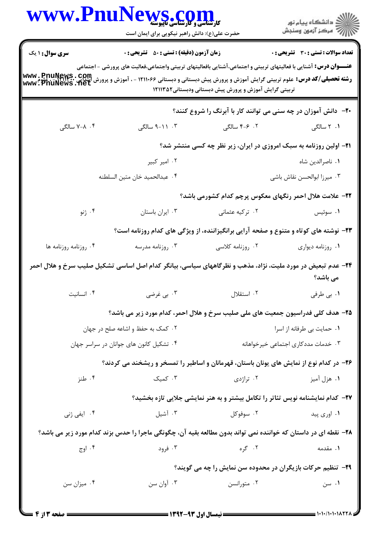|                                         | WWW.PnuNews.com<br>حضرت علی(ع): دانش راهبر نیکویی برای ایمان است                                                                                                                                                                                                        |                                                                                | ِ دانشڪاه پيا <sub>م</sub> نور<br>/∕ مرڪز آزمون وسنڊش |  |  |
|-----------------------------------------|-------------------------------------------------------------------------------------------------------------------------------------------------------------------------------------------------------------------------------------------------------------------------|--------------------------------------------------------------------------------|-------------------------------------------------------|--|--|
| سری سوال: ۱ یک                          | <b>زمان آزمون (دقیقه) : تستی : 50 ٪ تشریحی : 0</b>                                                                                                                                                                                                                      |                                                                                | <b>تعداد سوالات : تستی : 30 ٪ تشریحی : 0</b>          |  |  |
|                                         | <b>عنــــوان درس:</b> آشنایی با فعالیتهای تربیتی و اجتماعی،آشنایی بافعالیتهای تربیتی واجتماعی،فعالیت های پرورشی - اجتماعی<br><b>رشته تحصیلی/کد درس:</b> علوم تربیتی گرایش آموزش و پرورش پیش دبستانی و دبستانی ۱۲۱۱۰۶۶ - ، آموزش و پرورش ابتدایی .<br>www. PnuNews . net | تربیتی گرایش آموزش و پرورش پیش دبستانی ودبستانی۱۲۱۱۳۵۲                         |                                                       |  |  |
|                                         |                                                                                                                                                                                                                                                                         | <b>۲۰</b> - دانش آموزان در چه سنی می توانند کار با آبرنگ را شروع کنند؟         |                                                       |  |  |
| ۰۴ سالگی                                | ۰۳ - ۹-۱۱ سالگی                                                                                                                                                                                                                                                         | ۰۲ ۶-۴ سالگی                                                                   | ۱. ۲ سالگی                                            |  |  |
|                                         | <b>۲۱</b> - اولین روزنامه به سبک امروزی در ایران، زیر نظر چه کسی منتشر شد؟                                                                                                                                                                                              |                                                                                |                                                       |  |  |
|                                         | ۰۲ امیر کبیر                                                                                                                                                                                                                                                            |                                                                                | ٠١ ناصرالدين شاه                                      |  |  |
|                                         | ۰۴ عبدالحميد خان متين السلطنه                                                                                                                                                                                                                                           |                                                                                | ٠٣ ميرزا ابوالحسن نقاش باشي                           |  |  |
|                                         |                                                                                                                                                                                                                                                                         | ۲۲– علامت هلال احمر رنگهای معکوس پرچم کدام کشورمی باشد؟                        |                                                       |  |  |
| ۰۴ ژنو                                  | ٠٣ ايران باستان                                                                                                                                                                                                                                                         | ۰۲ ترکیه عثمانی                                                                | ۰۱ سوئیس                                              |  |  |
|                                         | ۲۳- نوشته های کوتاه و متنوع و صفحه آرایی برانگیزاننده، از ویژگی های کدام روزنامه است؟                                                                                                                                                                                   |                                                                                |                                                       |  |  |
| ۰۴ روزنامه روزنامه ها                   | ۰۳ روزنامه مدرسه                                                                                                                                                                                                                                                        | ۰۲ روزنامه کلاسی                                                               | ٠١. روزنامه ديواري                                    |  |  |
|                                         | ۲۴– عدم تبعیض در مورد ملیت، نژاد، مذهب و نظر گاههای سیاسی، بیانگر کدام اصل اساسی تشکیل صلیب سرخ و هلال احمر                                                                                                                                                             |                                                                                | می باشد؟                                              |  |  |
| ۰۴ انسانیت                              | ۰۳ پي غرضي                                                                                                                                                                                                                                                              | ۰۲ استقلال                                                                     | ۰۱ بی طرفی                                            |  |  |
|                                         | ۲۵- هدف کلی فدراسیون جمعیت های ملی صلیب سرخ و هلال احمر، کدام مورد زیر می باشد؟                                                                                                                                                                                         |                                                                                |                                                       |  |  |
| ۰۲ کمک به حفظ و اشاعه صلح در جهان       |                                                                                                                                                                                                                                                                         | ٠١. حمايت بي طرفانه از اسرا                                                    |                                                       |  |  |
| ۰۴ تشکیل کانون های جوانان در سراسر جهان |                                                                                                                                                                                                                                                                         |                                                                                | ۰۳ خدمات مددکاری اجتماعی خیرخواهانه                   |  |  |
|                                         | ۲۶- در کدام نوع از نمایش های یونان باستان، قهرمانان و اساطیر را تمسخر و ریشخند می کردند؟                                                                                                                                                                                |                                                                                |                                                       |  |  |
| ۰۴ طنز                                  | ۰۳ کمیک                                                                                                                                                                                                                                                                 | ۰۲ تراژدی                                                                      | ۰۱ هزل آميز                                           |  |  |
|                                         |                                                                                                                                                                                                                                                                         | ۲۷- کدام نمایشنامه نویس تئاتر را تکامل بیشتر و به هنر نمایشی جلایی تازه بخشید؟ |                                                       |  |  |
| ۰۴ ایفی ژنی                             | ۰۳ آشیل                                                                                                                                                                                                                                                                 | ۰۲ سوفوکل                                                                      | ۰۱ اوری پید                                           |  |  |
|                                         | ۲۸- نقطه ای در داستان که خواننده نمی تواند بدون مطالعه بقیه آن، چگونگی ماجرا را حدس بزند کدام مورد زیر می باشد؟                                                                                                                                                         |                                                                                |                                                       |  |  |
| ۰۴ اوج                                  | ۰۳ فرود                                                                                                                                                                                                                                                                 | ۰۲ گره                                                                         | ۰۱ مقدمه                                              |  |  |
|                                         |                                                                                                                                                                                                                                                                         | ۲۹- تنظیم حرکات بازیگران در محدوده سن نمایش را چه می گویند؟                    |                                                       |  |  |
| ۰۴ میزان سن                             | ۰۳ آوان سن                                                                                                                                                                                                                                                              | ۰۲ متورانسن                                                                    | ۰۱ سن                                                 |  |  |